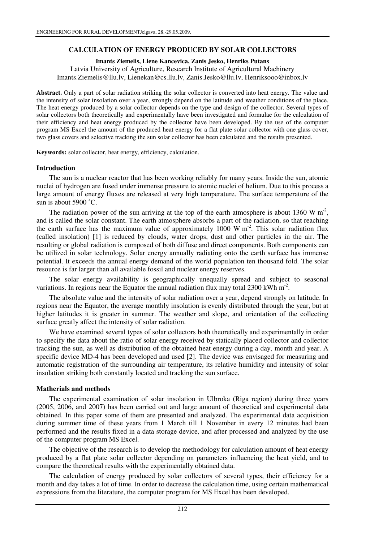# **CALCULATION OF ENERGY PRODUCED BY SOLAR COLLECTORS**

#### **Imants Ziemelis, Liene Kancevica, Zanis Jesko, Henriks Putans**

Latvia University of Agriculture, Research Institute of Agricultural Machinery Imants.Ziemelis@llu.lv, Lienekan@cs.llu.lv, Zanis.Jesko@llu.lv, Henriksooo@inbox.lv

**Abstract.** Only a part of solar radiation striking the solar collector is converted into heat energy. The value and the intensity of solar insolation over a year, strongly depend on the latitude and weather conditions of the place. The heat energy produced by a solar collector depends on the type and design of the collector. Several types of solar collectors both theoretically and experimentally have been investigated and formulae for the calculation of their efficiency and heat energy produced by the collector have been developed. By the use of the computer program MS Excel the amount of the produced heat energy for a flat plate solar collector with one glass cover, two glass covers and selective tracking the sun solar collector has been calculated and the results presented.

**Keywords:** solar collector, heat energy, efficiency, calculation.

## **Introduction**

The sun is a nuclear reactor that has been working reliably for many years. Inside the sun, atomic nuclei of hydrogen are fused under immense pressure to atomic nuclei of helium. Due to this process a large amount of energy fluxes are released at very high temperature. The surface temperature of the sun is about 5900 ˚C.

The radiation power of the sun arriving at the top of the earth atmosphere is about 1360 W  $m^2$ , and is called the solar constant. The earth atmosphere absorbs a part of the radiation, so that reaching the earth surface has the maximum value of approximately 1000 W  $m<sup>2</sup>$ . This solar radiation flux (called insolation) [1] is reduced by clouds, water drops, dust and other particles in the air. The resulting or global radiation is composed of both diffuse and direct components. Both components can be utilized in solar technology. Solar energy annually radiating onto the earth surface has immense potential. It exceeds the annual energy demand of the world population ten thousand fold. The solar resource is far larger than all available fossil and nuclear energy reserves.

The solar energy availability is geographically unequally spread and subject to seasonal variations. In regions near the Equator the annual radiation flux may total 2300 kWh  $m^2$ .

The absolute value and the intensity of solar radiation over a year, depend strongly on latitude. In regions near the Equator, the average monthly insolation is evenly distributed through the year, but at higher latitudes it is greater in summer. The weather and slope, and orientation of the collecting surface greatly affect the intensity of solar radiation.

We have examined several types of solar collectors both theoretically and experimentally in order to specify the data about the ratio of solar energy received by statically placed collector and collector tracking the sun, as well as distribution of the obtained heat energy during a day, month and year. A specific device MD-4 has been developed and used [2]. The device was envisaged for measuring and automatic registration of the surrounding air temperature, its relative humidity and intensity of solar insolation striking both constantly located and tracking the sun surface.

## **Matherials and methods**

The experimental examination of solar insolation in Ulbroka (Riga region) during three years (2005, 2006, and 2007) has been carried out and large amount of theoretical and experimental data obtained. In this paper some of them are presented and analyzed. The experimental data acquisition during summer time of these years from 1 March till 1 November in every 12 minutes had been performed and the results fixed in a data storage device, and after processed and analyzed by the use of the computer program MS Excel.

The objective of the research is to develop the methodology for calculation amount of heat energy produced by a flat plate solar collector depending on parameters influencing the heat yield, and to compare the theoretical results with the experimentally obtained data.

The calculation of energy produced by solar collectors of several types, their efficiency for a month and day takes a lot of time. In order to decrease the calculation time, using certain mathematical expressions from the literature, the computer program for MS Excel has been developed.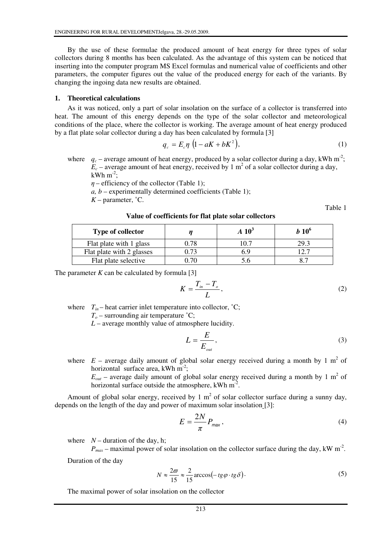By the use of these formulae the produced amount of heat energy for three types of solar collectors during 8 months has been calculated. As the advantage of this system can be noticed that inserting into the computer program MS Excel formulas and numerical value of coefficients and other parameters, the computer figures out the value of the produced energy for each of the variants. By changing the ingoing data new results are obtained.

#### **1. Theoretical calculations**

As it was noticed, only a part of solar insolation on the surface of a collector is transferred into heat. The amount of this energy depends on the type of the solar collector and meteorological conditions of the place, where the collector is working. The average amount of heat energy produced by a flat plate solar collector during a day has been calculated by formula [3]

$$
q_c = E_c \eta \left( 1 - aK + bK^2 \right),\tag{1}
$$

where  $q_c$  – average amount of heat energy, produced by a solar collector during a day, kWh m<sup>-2</sup>;  $E_c$  – average amount of heat energy, received by 1 m<sup>2</sup> of a solar collector during a day, kWh  $m<sup>-2</sup>$ ;

 $\eta$  – efficiency of the collector (Table 1);

 $a, b$  – experimentally determined coefficients (Table 1);

 $K$  – parameter,  $^{\circ}C$ .

Table 1

| Value of coefficients for flat plate solar collectors |  |
|-------------------------------------------------------|--|
|-------------------------------------------------------|--|

| <b>Type of collector</b>  |          | $A 10^3$ | $b\ 10^{\circ}$ |
|---------------------------|----------|----------|-----------------|
| Flat plate with 1 glass   | ${0.78}$ |          |                 |
| Flat plate with 2 glasses | ).73     |          |                 |
| Flat plate selective      | ) 70     |          |                 |

The parameter  $K$  can be calculated by formula [3]

$$
K = \frac{T_{in} - T_o}{L},\tag{2}
$$

where  $T_{in}$  – heat carrier inlet temperature into collector,  $^{\circ}C$ ;

 $T<sub>o</sub>$  – surrounding air temperature  $^{\circ}C$ ;

*L* – average monthly value of atmosphere lucidity.

$$
L = \frac{E}{E_{\text{out}}},\tag{3}
$$

where  $E$  – average daily amount of global solar energy received during a month by 1 m<sup>2</sup> of horizontal surface area, kWh  $m<sup>-2</sup>$ ;

 $E_{out}$  – average daily amount of global solar energy received during a month by 1 m<sup>2</sup> of horizontal surface outside the atmosphere,  $kWh$  m<sup>-2</sup>.

Amount of global solar energy, received by 1  $m<sup>2</sup>$  of solar collector surface during a sunny day, depends on the length of the day and power of maximum solar insolation [3]:

$$
E = \frac{2N}{\pi} P_{\text{max}}\,,\tag{4}
$$

where  $N-$  duration of the day, h;

 $P_{max}$  – maximal power of solar insolation on the collector surface during the day, kW m<sup>-2</sup>.

Duration of the day

$$
N \approx \frac{2\pi}{15} \approx \frac{2}{15} \arccos(-tg\varphi \cdot tg\delta). \tag{5}
$$

The maximal power of solar insolation on the collector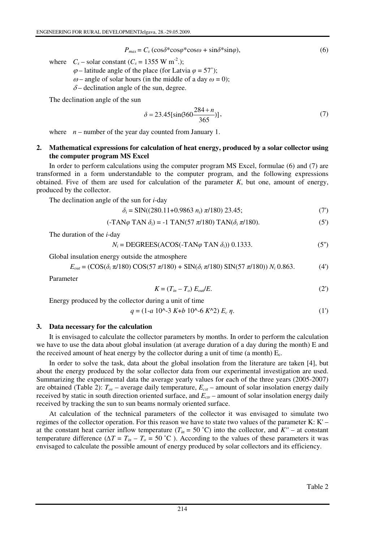$P_{max} = C_s (\cos \delta^* \cos \varphi^* \cos \omega + \sin \delta^* \sin \varphi),$  (6)

where  $C_s$  – solar constant ( $C_s$  = 1355 W m<sup>-2</sup>.);

 $\varphi$  – latitude angle of the place (for Latvia  $\varphi = 57^{\circ}$ );

 $\omega$  – angle of solar hours (in the middle of a day  $\omega$  = 0);

 $\delta$  – declination angle of the sun, degree.

The declination angle of the sun

$$
\delta = 23.45[\sin(360 \frac{284 + n}{365})],\tag{7}
$$

where  $n-$  number of the year day counted from January 1.

## **2. Mathematical expressions for calculation of heat energy, produced by a solar collector using the computer program MS Excel**

In order to perform calculations using the computer program MS Excel, formulae (6) and (7) are transformed in a form understandable to the computer program, and the following expressions obtained. Five of them are used for calculation of the parameter *K*, but one, amount of energy, produced by the collector.

The declination angle of the sun for *i*-day

$$
\delta_i = \text{SIN}((280.11 + 0.9863 n_i) \pi/180) 23.45; \tag{7}
$$

$$
(-TAN\varphi TAN \delta_i) = -1 TAN(57 \pi/180) TAN(\delta_i \pi/180). \tag{5'}
$$

The duration of the *i*-day

$$
N_i = \text{DEGREES}(\text{ACOS}(\text{-TAN}\varphi \text{ TAN }\delta_i))\ 0.1333. \tag{5"}
$$

Global insulation energy outside the atmosphere

$$
E_{out} = (COS(\delta_i \pi/180) \, \text{COS}(57 \, \pi/180) + \text{SIN}(\delta_i \pi/180) \, \text{SIN}(57 \, \pi/180)) \, N_i \, 0.863. \tag{4'}
$$

Parameter

$$
K = (T_{in} - T_o) E_{out}/E.
$$
 (2)

Energy produced by the collector during a unit of time

$$
q = (1 - a 10^{\circ} - 3 K + b 10^{\circ} - 6 K^{\circ} 2) E_c \eta.
$$
 (1)

## **3. Data necessary for the calculation**

It is envisaged to calculate the collector parameters by months. In order to perform the calculation we have to use the data about global insulation (at average duration of a day during the month) E and the received amount of heat energy by the collector during a unit of time (a month)  $E_c$ .

In order to solve the task, data about the global insolation from the literature are taken [4], but about the energy produced by the solar collector data from our experimental investigation are used. Summarizing the experimental data the average yearly values for each of the three years (2005-2007) are obtained (Table 2): *Tov* – average daily temperature, *Ecst* – amount of solar insolation energy daily received by static in south direction oriented surface, and *Ectr* – amount of solar insolation energy daily received by tracking the sun to sun beams normaly oriented surface.

At calculation of the technical parameters of the collector it was envisaged to simulate two regimes of the collector operation. For this reason we have to state two values of the parameter K: K' – at the constant heat carrier inflow temperature  $(T_{in} = 50 \degree C)$  into the collector, and  $K''$  – at constant temperature difference ( $\Delta T = T_{in} - T_o = 50$  °C). According to the values of these parameters it was envisaged to calculate the possible amount of energy produced by solar collectors and its efficiency.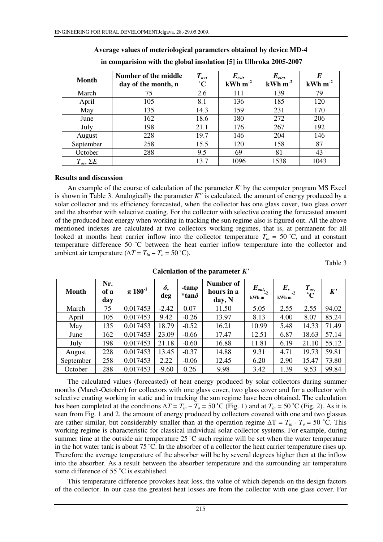| <b>Month</b>          | Number of the middle<br>day of the month, n | $T_{ov}$<br>$\rm ^{\circ}C$ | $E_{cst}$<br>$kWh$ m <sup>-2</sup> | $E_{ctr}$<br>$kWh$ m <sup>-2</sup> | E<br>$kWh$ m <sup>-2</sup> |
|-----------------------|---------------------------------------------|-----------------------------|------------------------------------|------------------------------------|----------------------------|
| March                 | 75                                          | 2.6                         | 111                                | 139                                | 79                         |
| April                 | 105                                         | 8.1                         | 136                                | 185                                | 120                        |
| May                   | 135                                         | 14.3                        | 159                                | 231                                | 170                        |
| June                  | 162                                         | 18.6                        | 180                                | 272                                | 206                        |
| July                  | 198                                         | 21.1                        | 176                                | 267                                | 192                        |
| August                | 228                                         | 19.7                        | 146                                | 204                                | 146                        |
| September             | 258                                         | 15.5                        | 120                                | 158                                | 87                         |
| October               | 288                                         | 9.5                         | 69                                 | 81                                 | 43                         |
| $T_{ov}$ , $\Sigma E$ |                                             | 13.7                        | 1096                               | 1538                               | 1043                       |

**Average values of meteriological parameters obtained by device MD-4 in comparision with the global insolation [5] in Ulbroka 2005-2007** 

## **Results and discussion**

An example of the course of calculation of the parameter *K'* by the computer program MS Excel is shown in Table 3. Analogically the parameter *K''* is calculated, the amount of energy produced by a solar collector and its efficiency forecasted, when the collector has one glass cover, two glass cover and the absorber with selective coating. For the collector with selective coating the forecasted amount of the produced heat energy when working in tracking the sun regime also is figured out. All the above mentioned indexes are calculated at two collectors working regimes, that is, at permanent for all looked at months heat carrier inflow into the collector temperature  $T_{in} = 50$  °C, and at constant temperature difference 50 ˚C between the heat carrier inflow temperature into the collector and ambient air temperature ( $\Delta T = T_{in} - T_o = 50$  °C).

Table 3

| <b>Month</b> | Nr.<br>of a<br>day | $\pi 180^{-1}$ | $\delta$ ,<br>deg | -tan $\varphi$<br>*tan $\delta$ | Number of<br>hours in a<br>day, N | $E_{out,\c}$<br>kWh m | E,<br>$-2$<br>kWh m | $T_{ov,}$<br>$\mathbf{C}$ | $K^{\prime}$ |
|--------------|--------------------|----------------|-------------------|---------------------------------|-----------------------------------|-----------------------|---------------------|---------------------------|--------------|
| March        | 75                 | 0.017453       | $-2.42$           | 0.07                            | 11.50                             | 5.05                  | 2.55                | 2.55                      | 94.02        |
| April        | 105                | 0.017453       | 9.42              | $-0.26$                         | 13.97                             | 8.13                  | 4.00                | 8.07                      | 85.24        |
| May          | 135                | 0.017453       | 18.79             | $-0.52$                         | 16.21                             | 10.99                 | 5.48                | 14.33                     | 71.49        |
| June         | 162                | 0.017453       | 23.09             | $-0.66$                         | 17.47                             | 12.51                 | 6.87                | 18.63                     | 57.14        |
| July         | 198                | 0.017453       | 21.18             | $-0.60$                         | 16.88                             | 11.81                 | 6.19                | 21.10                     | 55.12        |
| August       | 228                | 0.017453       | 13.45             | $-0.37$                         | 14.88                             | 9.31                  | 4.71                | 19.73                     | 59.81        |
| September    | 258                | 0.017453       | 2.22              | $-0.06$                         | 12.45                             | 6.20                  | 2.90                | 15.47                     | 73.80        |
| October      | 288                | 0.017453       | $-9.60$           | 0.26                            | 9.98                              | 3.42                  | 1.39                | 9.53                      | 99.84        |

**Calculation of the parameter** *K'*

The calculated values (forecasted) of heat energy produced by solar collectors during summer months (March-October) for collectors with one glass cover, two glass cover and for a collector with selective coating working in static and in tracking the sun regime have been obtained. The calculation has been completed at the conditions  $\Delta T = T_{in} - T_o = 50$  °C (Fig. 1) and at  $T_{in} = 50$  °C (Fig. 2). As it is seen from Fig. 1 and 2, the amount of energy produced by collectors covered with one and two glasses are rather similar, but considerably smaller than at the operation regime  $\Delta T = T_{in} - T_o = 50$  °C. This working regime is characteristic for classical individual solar collector systems. For example, during summer time at the outside air temperature  $25^{\circ}$ C such regime will be set when the water temperature in the hot water tank is about 75 ˚C. In the absorber of a collector the heat carrier temperature rises up. Therefore the average temperature of the absorber will be by several degrees higher then at the inflow into the absorber. As a result between the absorber temperature and the surrounding air temperature some difference of 55 ˚C is established.

This temperature difference provokes heat loss, the value of which depends on the design factors of the collector. In our case the greatest heat losses are from the collector with one glass cover. For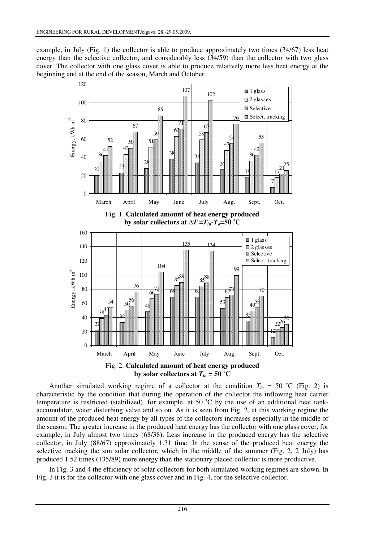example, in July (Fig. 1) the collector is able to produce approximately two times (34/67) less heat energy than the selective collector, and considerably less (34/59) than the collector with two glass cover. The collector with one glass cover is able to produce relatively more less heat energy at the beginning and at the end of the season, March and October.





Another simulated working regime of a collector at the condition  $T_{in} = 50$  °C (Fig. 2) is characteristic by the condition that during the operation of the collector the inflowing heat carrier temperature is restricted (stabilized), for example, at 50 ˚C by the use of an additional heat tankaccumulator, water disturbing valve and so on. As it is seen from Fig. 2, at this working regime the amount of the produced heat energy by all types of the collectors increases especially in the middle of the season. The greater increase in the produced heat energy has the collector with one glass cover, for example, in July almost two times (68/38). Less increase in the produced energy has the selective collector, in July (88/67) approximately 1.31 time. In the sense of the produced heat energy the selective tracking the sun solar collector, which in the middle of the summer (Fig. 2, 2 July) has produced 1.52 times (135/89) more energy than the stationary placed collector is more productive.

In Fig. 3 and 4 the efficiency of solar collectors for both simulated working regimes are shown. In Fig. 3 it is for the collector with one glass cover and in Fig. 4, for the selective collector.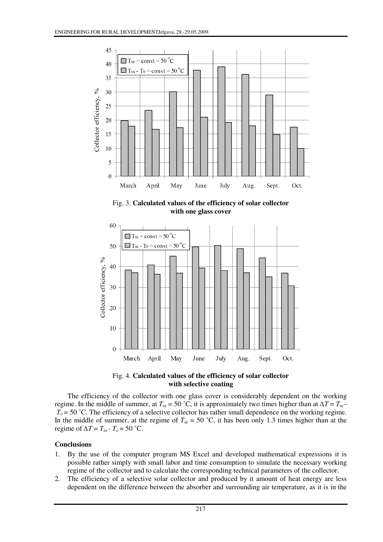

Fig. 3. **Calculated values of the efficiency of solar collector with one glass cover** 



Fig. 4. **Calculated values of the efficiency of solar collector with selective coating** 

The efficiency of the collector with one glass cover is considerably dependent on the working regime. In the middle of summer, at  $T_{in} = 50$  °C, it is approximately two times higher than at  $\Delta T = T_{in}$ .  $T<sub>o</sub>$  = 50 °C. The efficiency of a selective collector has rather small dependence on the working regime. In the middle of summer, at the regime of  $T_{in} = 50$  °C, it has been only 1.3 times higher than at the regime of  $\Delta T = T_{in} - T_o = 50$  °C.

## **Conclusions**

- 1. By the use of the computer program MS Excel and developed mathematical expressions it is possible rather simply with small labor and time consumption to simulate the necessary working regime of the collector and to calculate the corresponding technical parameters of the collector.
- 2. The efficiency of a selective solar collector and produced by it amount of heat energy are less dependent on the difference between the absorber and surrounding air temperature, as it is in the